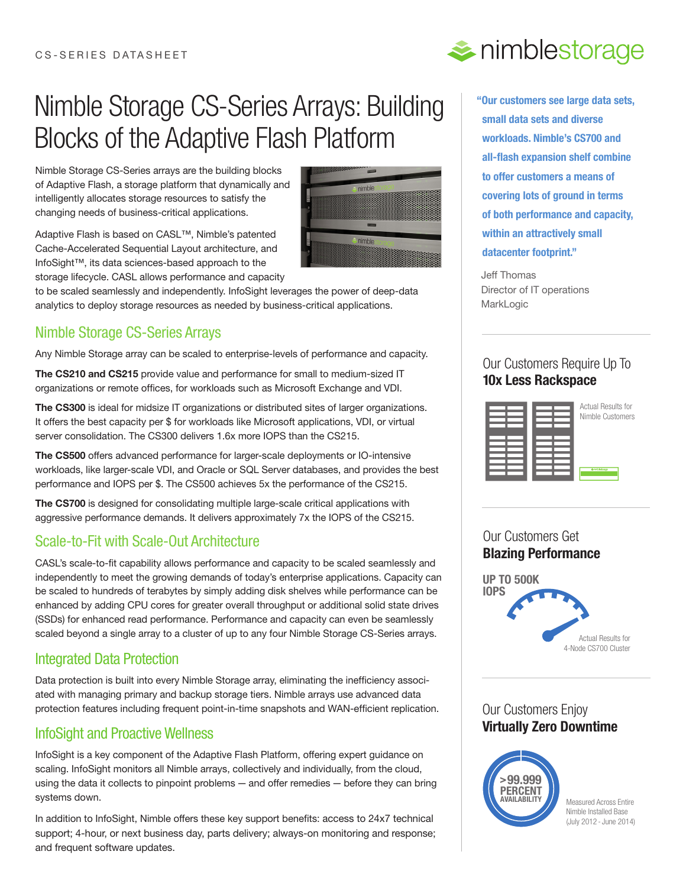# Nimble Storage CS-Series Arrays: Building Blocks of the Adaptive Flash Platform

Nimble Storage CS-Series arrays are the building blocks of Adaptive Flash, a storage platform that dynamically and intelligently allocates storage resources to satisfy the changing needs of business-critical applications.

Adaptive Flash is based on CASL™, Nimble's patented Cache-Accelerated Sequential Layout architecture, and InfoSight™, its data sciences-based approach to the storage lifecycle. CASL allows performance and capacity



to be scaled seamlessly and independently. InfoSight leverages the power of deep-data analytics to deploy storage resources as needed by business-critical applications.

## Nimble Storage CS-Series Arrays

Any Nimble Storage array can be scaled to enterprise-levels of performance and capacity.

**The CS210 and CS215** provide value and performance for small to medium-sized IT organizations or remote offices, for workloads such as Microsoft Exchange and VDI.

**The CS300** is ideal for midsize IT organizations or distributed sites of larger organizations. It offers the best capacity per \$ for workloads like Microsoft applications, VDI, or virtual server consolidation. The CS300 delivers 1.6x more IOPS than the CS215.

**The CS500** offers advanced performance for larger-scale deployments or IO-intensive workloads, like larger-scale VDI, and Oracle or SQL Server databases, and provides the best performance and IOPS per \$. The CS500 achieves 5x the performance of the CS215.

**The CS700** is designed for consolidating multiple large-scale critical applications with aggressive performance demands. It delivers approximately 7x the IOPS of the CS215.

### Scale-to-Fit with Scale-Out Architecture

CASL's scale-to-fit capability allows performance and capacity to be scaled seamlessly and independently to meet the growing demands of today's enterprise applications. Capacity can be scaled to hundreds of terabytes by simply adding disk shelves while performance can be enhanced by adding CPU cores for greater overall throughput or additional solid state drives (SSDs) for enhanced read performance. Performance and capacity can even be seamlessly scaled beyond a single array to a cluster of up to any four Nimble Storage CS-Series arrays.

### Integrated Data Protection

Data protection is built into every Nimble Storage array, eliminating the inefficiency associated with managing primary and backup storage tiers. Nimble arrays use advanced data protection features including frequent point-in-time snapshots and WAN-efficient replication.

#### InfoSight and Proactive Wellness nd Proactive Wellness **10x 20x**

InfoSight is a key component of the Adaptive Flash Platform, offering expert guidance on scaling. InfoSight monitors all Nimble arrays, collectively and individually, from the cloud, using the data it collects to pinpoint problems — and offer remedies — before they can bring systems down.

In addition to InfoSight, Nimble offers these key support benefits: access to 24x7 technical support; 4-hour, or next business day, parts delivery; always-on monitoring and response; and frequent software updates. 4x*i* tecnincal



**"Our customers see large data sets, small data sets and diverse workloads. Nimble's CS700 and all-flash expansion shelf combine to offer customers a means of covering lots of ground in terms of both performance and capacity, within an attractively small datacenter footprint."**

Jeff Thomas Director of IT operations **MarkLogic** 

### Our Customers Our Customers Require Up To Require Up To **10x Less Rackspace 10x Less Rackspace**



Actual Results for Nimble Customers

#### Our Customers Get **Blazing Performance** Blazing **Performance**



### Our Customers Enjoy **Virtually Zero Downtime** Enjoy **Virtually Zero Downtime**



Measured Across Entire Nimble Installed Base (July 2012 - June 2014)